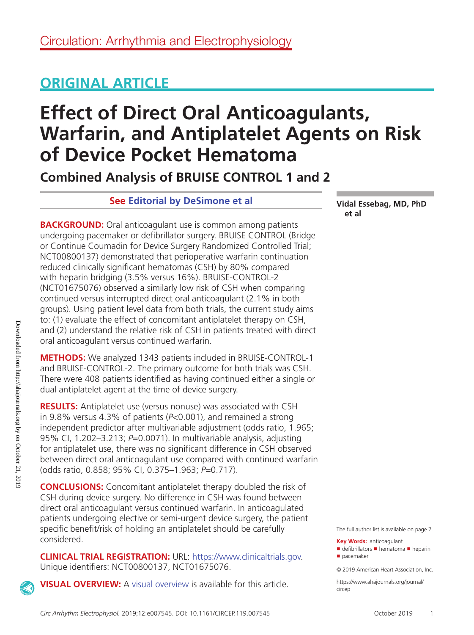## **ORIGINAL ARTICLE**

# **Effect of Direct Oral Anticoagulants, Warfarin, and Antiplatelet Agents on Risk of Device Pocket Hematoma**

**Combined Analysis of BRUISE CONTROL 1 and 2**

## **See [Editorial by DeSimone et al](https://www.ahajournals.org/doi/full/10.1161/CIRCEP.119.007863)**

**BACKGROUND:** Oral anticoagulant use is common among patients undergoing pacemaker or defibrillator surgery. BRUISE CONTROL (Bridge or Continue Coumadin for Device Surgery Randomized Controlled Trial; NCT00800137) demonstrated that perioperative warfarin continuation reduced clinically significant hematomas (CSH) by 80% compared with heparin bridging (3.5% versus 16%). BRUISE-CONTROL-2 (NCT01675076) observed a similarly low risk of CSH when comparing continued versus interrupted direct oral anticoagulant (2.1% in both groups). Using patient level data from both trials, the current study aims to: (1) evaluate the effect of concomitant antiplatelet therapy on CSH, and (2) understand the relative risk of CSH in patients treated with direct oral anticoagulant versus continued warfarin.

**METHODS:** We analyzed 1343 patients included in BRUISE-CONTROL-1 and BRUISE-CONTROL-2. The primary outcome for both trials was CSH. There were 408 patients identified as having continued either a single or dual antiplatelet agent at the time of device surgery.

**RESULTS:** Antiplatelet use (versus nonuse) was associated with CSH in 9.8% versus 4.3% of patients (*P*<0.001), and remained a strong independent predictor after multivariable adjustment (odds ratio, 1.965; 95% CI, 1.202–3.213; *P*=0.0071). In multivariable analysis, adjusting for antiplatelet use, there was no significant difference in CSH observed between direct oral anticoagulant use compared with continued warfarin (odds ratio, 0.858; 95% CI, 0.375–1.963; *P*=0.717).

**CONCLUSIONS:** Concomitant antiplatelet therapy doubled the risk of CSH during device surgery. No difference in CSH was found between direct oral anticoagulant versus continued warfarin. In anticoagulated patients undergoing elective or semi-urgent device surgery, the patient specific benefit/risk of holding an antiplatelet should be carefully considered.

**CLINICAL TRIAL REGISTRATION:** URL:<https://www.clinicaltrials.gov>. Unique identifiers: NCT00800137, NCT01675076.

**VISUAL OVERVIEW:** A [visual overview](https://www.ahajournals.org/doi/suppl/10.1161/CIRCEP.119.007545) is available for this article.

**Vidal Essebag, MD, PhD et al**

The full author list is available on page 7.

**Key Words:** anticoagulant ■ defibrillators ■ hematoma ■ heparin ■ pacemaker

© 2019 American Heart Association, Inc.

[https://www.ahajournals.org/journal/](https://www.ahajournals.org/journal/circep) [circep](https://www.ahajournals.org/journal/circep)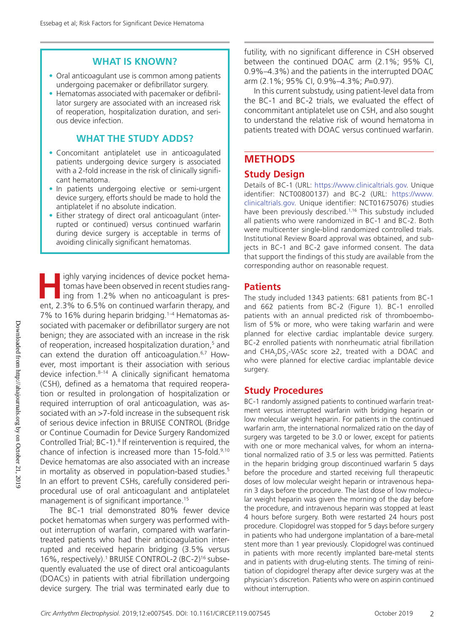## **WHAT IS KNOWN?**

- Oral anticoagulant use is common among patients undergoing pacemaker or defibrillator surgery.
- Hematomas associated with pacemaker or defibrillator surgery are associated with an increased risk of reoperation, hospitalization duration, and serious device infection.

## **WHAT THE STUDY ADDS?**

- Concomitant antiplatelet use in anticoagulated patients undergoing device surgery is associated with a 2-fold increase in the risk of clinically significant hematoma.
- In patients undergoing elective or semi-urgent device surgery, efforts should be made to hold the antiplatelet if no absolute indication.
- Either strategy of direct oral anticoagulant (interrupted or continued) versus continued warfarin during device surgery is acceptable in terms of avoiding clinically significant hematomas.

**H** ighly varying incidences of device pocket hematomas have been observed in recent studies ranging from 1.2% when no anticoagulant is present, 2.3% to 6.5% on continued warfarin therapy, and 7% to 16% during heparin bridging.1–4 Hematomas associated with pacemaker or defibrillator surgery are not benign; they are associated with an increase in the risk of reoperation, increased hospitalization duration,5 and can extend the duration off anticoagulation.6,7 However, most important is their association with serious device infection. $8-14$  A clinically significant hematoma (CSH), defined as a hematoma that required reoperation or resulted in prolongation of hospitalization or required interruption of oral anticoagulation, was associated with an >7-fold increase in the subsequent risk of serious device infection in BRUISE CONTROL (Bridge or Continue Coumadin for Device Surgery Randomized Controlled Trial; BC-1).<sup>8</sup> If reintervention is required, the chance of infection is increased more than 15-fold.<sup>9,10</sup> Device hematomas are also associated with an increase in mortality as observed in population-based studies.5 In an effort to prevent CSHs, carefully considered periprocedural use of oral anticoagulant and antiplatelet management is of significant importance.<sup>15</sup>

The BC-1 trial demonstrated 80% fewer device pocket hematomas when surgery was performed without interruption of warfarin, compared with warfarintreated patients who had their anticoagulation interrupted and received heparin bridging (3.5% versus 16%, respectively).<sup>1</sup> BRUISE CONTROL-2 (BC-2)<sup>16</sup> subsequently evaluated the use of direct oral anticoagulants (DOACs) in patients with atrial fibrillation undergoing device surgery. The trial was terminated early due to futility, with no significant difference in CSH observed between the continued DOAC arm (2.1%; 95% CI, 0.9%–4.3%) and the patients in the interrupted DOAC arm (2.1%; 95% CI, 0.9%–4.3%; *P*=0.97).

In this current substudy, using patient-level data from the BC-1 and BC-2 trials, we evaluated the effect of concommitant antiplatelet use on CSH, and also sought to understand the relative risk of wound hematoma in patients treated with DOAC versus continued warfarin.

## **METHODS**

## **Study Design**

Details of BC-1 (URL: [https://www.clinicaltrials.gov.](http://www.clinicaltrials.gov) Unique identifier: NCT00800137) and BC-2 (URL: [https://www.](http://www.clinicaltrials.gov) [clinicaltrials.gov](http://www.clinicaltrials.gov). Unique identifier: NCT01675076) studies have been previously described.<sup>1,16</sup> This substudy included all patients who were randomized in BC-1 and BC-2. Both were multicenter single-blind randomized controlled trials. Institutional Review Board approval was obtained, and subjects in BC-1 and BC-2 gave informed consent. The data that support the findings of this study are available from the corresponding author on reasonable request.

## **Patients**

The study included 1343 patients: 681 patients from BC-1 and 662 patients from BC-2 (Figure 1). BC-1 enrolled patients with an annual predicted risk of thromboembolism of 5% or more, who were taking warfarin and were planned for elective cardiac implantable device surgery. BC-2 enrolled patients with nonrheumatic atrial fibrillation and  $\text{CHA}_{2} \text{DS}_{2}$ -VASc score ≥2, treated with a DOAC and who were planned for elective cardiac implantable device surgery.

## **Study Procedures**

BC-1 randomly assigned patients to continued warfarin treatment versus interrupted warfarin with bridging heparin or low molecular weight heparin. For patients in the continued warfarin arm, the international normalized ratio on the day of surgery was targeted to be 3.0 or lower, except for patients with one or more mechanical valves, for whom an international normalized ratio of 3.5 or less was permitted. Patients in the heparin bridging group discontinued warfarin 5 days before the procedure and started receiving full therapeutic doses of low molecular weight heparin or intravenous heparin 3 days before the procedure. The last dose of low molecular weight heparin was given the morning of the day before the procedure, and intravenous heparin was stopped at least 4 hours before surgery. Both were restarted 24 hours post procedure. Clopidogrel was stopped for 5 days before surgery in patients who had undergone implantation of a bare-metal stent more than 1 year previously. Clopidogrel was continued in patients with more recently implanted bare-metal stents and in patients with drug-eluting stents. The timing of reinitiation of clopidogrel therapy after device surgery was at the physician's discretion. Patients who were on aspirin continued without interruption.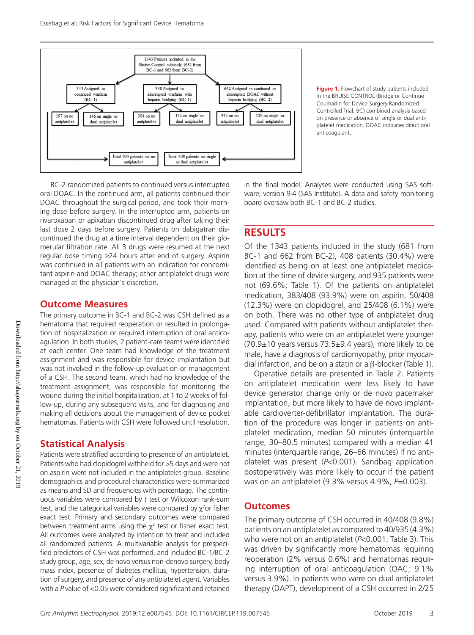

**Figure 1.** Flowchart of study patients included in the BRUISE CONTROL (Bridge or Continue Coumadin for Device Surgery Randomized Controlled Trial; BC) combined analysis based on presence or absence of single or dual antiplatelet medication. DOAC indicates direct oral anticoagulant.

BC-2 randomized patients to continued versus interrupted oral DOAC. In the continued arm, all patients continued their DOAC throughout the surgical period, and took their morning dose before surgery. In the interrupted arm, patients on rivaroxaban or apixaban discontinued drug after taking their last dose 2 days before surgery. Patients on dabigatran discontinued the drug at a time interval dependent on their glomerular filtration rate. All 3 drugs were resumed at the next regular dose timing ≥24 hours after end of surgery. Aspirin was continued in all patients with an indication for concomitant aspirin and DOAC therapy; other antiplatelet drugs were managed at the physician's discretion.

#### **Outcome Measures**

The primary outcome in BC-1 and BC-2 was CSH defined as a hematoma that required reoperation or resulted in prolongation of hospitalization or required interruption of oral anticoagulation. In both studies, 2 patient-care teams were identified at each center. One team had knowledge of the treatment assignment and was responsible for device implantation but was not involved in the follow-up evaluation or management of a CSH. The second team, which had no knowledge of the treatment assignment, was responsible for monitoring the wound during the initial hospitalization, at 1 to 2 weeks of follow-up, during any subsequent visits, and for diagnosing and making all decisions about the management of device pocket hematomas. Patients with CSH were followed until resolution.

## **Statistical Analysis**

Patients were stratified according to presence of an antiplatelet. Patients who had clopidogrel withheld for >5 days and were not on aspirin were not included in the antiplatelet group. Baseline demographics and procedural characteristics were summarized as means and SD and frequencies with percentage. The continuous variables were compared by *t* test or Wilcoxon rank-sum test, and the categorical variables were compared by  $\chi^2$ or fisher exact test. Primary and secondary outcomes were compared between treatment arms using the  $\chi^2$  test or fisher exact test. All outcomes were analyzed by intention to treat and included all randomized patients. A multivariable analysis for prespecified predictors of CSH was performed, and included BC-1/BC-2 study group, age, sex, de novo versus non-denovo surgery, body mass index, presence of diabetes mellitus, hypertension, duration of surgery, and presence of any antiplatelet agent. Variables with a *P* value of <0.05 were considered significant and retained

in the final model. Analyses were conducted using SAS software, version 9·4 (SAS Institute). A data and safety monitoring board oversaw both BC-1 and BC-2 studies.

## **RESULTS**

Of the 1343 patients included in the study (681 from BC-1 and 662 from BC-2), 408 patients (30.4%) were identified as being on at least one antiplatelet medication at the time of device surgery, and 935 patients were not (69.6%; Table 1). Of the patients on antiplatelet medication, 383/408 (93.9%) were on aspirin, 50/408 (12.3%) were on clopidogrel, and 25/408 (6.1%) were on both. There was no other type of antiplatelet drug used. Compared with patients without antiplatelet therapy, patients who were on an antiplatelet were younger  $(70.9\pm10)$  years versus  $73.5\pm9.4$  years), more likely to be male, have a diagnosis of cardiomyopathy, prior myocardial infarction, and be on a statin or a β-blocker (Table 1).

Operative details are presented in Table 2. Patients on antiplatelet medication were less likely to have device generator change only or de novo pacemaker implantation, but more likely to have de novo implantable cardioverter-defibrillator implantation. The duration of the procedure was longer in patients on antiplatelet medication, median 50 minutes (interquartile range, 30–80.5 minutes) compared with a median 41 minutes (interquartile range, 26–66 minutes) if no antiplatelet was present (*P*<0.001). Sandbag application postoperatively was more likely to occur if the patient was on an antiplatelet (9.3% versus 4.9%, *P*=0.003).

## **Outcomes**

The primary outcome of CSH occurred in 40/408 (9.8%) patients on an antiplatelet as compared to 40/935 (4.3%) who were not on an antiplatelet (*P*<0.001; Table 3). This was driven by significantly more hematomas requiring reoperation (2% versus 0.6%) and hematomas requiring interruption of oral anticoagulation (OAC; 9.1% versus 3.9%). In patients who were on dual antiplatelet therapy (DAPT), development of a CSH occurred in 2/25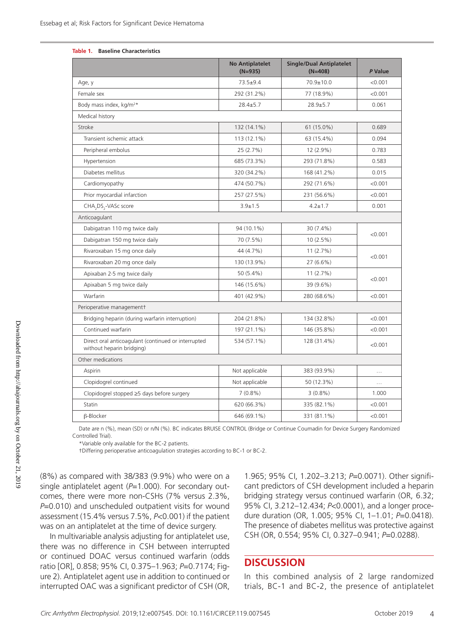#### **Table 1. Baseline Characteristics**

|                                                                                  | <b>No Antiplatelet</b><br>$(N=935)$ | <b>Single/Dual Antiplatelet</b><br>$(N=408)$ | P Value   |
|----------------------------------------------------------------------------------|-------------------------------------|----------------------------------------------|-----------|
| Age, y                                                                           | $73.5 + 9.4$                        | 70.9±10.0                                    | < 0.001   |
| Female sex                                                                       | 292 (31.2%)                         | 77 (18.9%)                                   | < 0.001   |
| Body mass index, kg/m <sup>2*</sup>                                              | $28.4 \pm 5.7$                      | $28.9 + 5.7$                                 | 0.061     |
| Medical history                                                                  |                                     |                                              |           |
| Stroke                                                                           | 132 (14.1%)                         | 61 (15.0%)                                   | 0.689     |
| Transient ischemic attack                                                        | 113 (12.1%)                         | 63 (15.4%)                                   | 0.094     |
| Peripheral embolus                                                               | 25 (2.7%)                           | 12 (2.9%)                                    | 0.783     |
| Hypertension                                                                     | 685 (73.3%)                         | 293 (71.8%)                                  | 0.583     |
| Diabetes mellitus                                                                | 320 (34.2%)                         | 168 (41.2%)                                  | 0.015     |
| Cardiomyopathy                                                                   | 474 (50.7%)                         | 292 (71.6%)                                  | < 0.001   |
| Prior myocardial infarction                                                      | 257 (27.5%)                         | 231 (56.6%)                                  | < 0.001   |
| CHA <sub>2</sub> DS <sub>2</sub> -VASc score                                     | $3.9 \pm 1.5$                       | $4.2 \pm 1.7$                                | 0.001     |
| Anticoagulant                                                                    |                                     |                                              |           |
| Dabigatran 110 mg twice daily                                                    | 94 (10.1%)                          | 30 (7.4%)                                    |           |
| Dabigatran 150 mg twice daily                                                    | 70 (7.5%)                           | 10(2.5%)                                     | < 0.001   |
| Rivaroxaban 15 mg once daily                                                     | 44 (4.7%)                           | 11(2.7%)                                     | < 0.001   |
| Rivaroxaban 20 mg once daily                                                     | 130 (13.9%)                         | 27 (6.6%)                                    |           |
| Apixaban 2.5 mg twice daily                                                      | 50 (5.4%)                           | 11(2.7%)                                     | < 0.001   |
| Apixaban 5 mg twice daily                                                        | 146 (15.6%)                         | 39 (9.6%)                                    |           |
| Warfarin                                                                         | 401 (42.9%)                         | 280 (68.6%)                                  | < 0.001   |
| Perioperative management+                                                        |                                     |                                              |           |
| Bridging heparin (during warfarin interruption)                                  | 204 (21.8%)                         | 134 (32.8%)                                  | < 0.001   |
| Continued warfarin                                                               | 197 (21.1%)                         | 146 (35.8%)                                  | < 0.001   |
| Direct oral anticoagulant (continued or interrupted<br>without heparin bridging) | 534 (57.1%)                         | 128 (31.4%)                                  | < 0.001   |
| Other medications                                                                |                                     |                                              |           |
| Aspirin                                                                          | Not applicable                      | 383 (93.9%)                                  | $\ddotsc$ |
| Clopidogrel continued                                                            | Not applicable                      | 50 (12.3%)                                   | $\cdots$  |
| Clopidogrel stopped ≥5 days before surgery                                       | $7(0.8\%)$                          | $3(0.8\%)$                                   | 1.000     |
| Statin                                                                           | 620 (66.3%)                         | 335 (82.1%)                                  | < 0.001   |
| <b>B-Blocker</b>                                                                 | 646 (69.1%)                         | 331 (81.1%)                                  | < 0.001   |
|                                                                                  |                                     |                                              |           |

Date are n (%), mean (SD) or n/N (%). BC indicates BRUISE CONTROL (Bridge or Continue Coumadin for Device Surgery Randomized Controlled Trial).

\*Variable only available for the BC-2 patients.

†Differing perioperative anticoagulation strategies according to BC-1 or BC-2.

(8%) as compared with 38/383 (9.9%) who were on a single antiplatelet agent (P=1.000). For secondary outcomes, there were more non-CSHs (7% versus 2.3%, *P*=0.010) and unscheduled outpatient visits for wound assessment (15.4% versus 7.5%, *P*<0.001) if the patient was on an antiplatelet at the time of device surgery.

In multivariable analysis adjusting for antiplatelet use, there was no difference in CSH between interrupted or continued DOAC versus continued warfarin (odds ratio [OR], 0.858; 95% CI, 0.375–1.963; *P*=0.7174; Figure 2). Antiplatelet agent use in addition to continued or interrupted OAC was a significant predictor of CSH (OR,

1.965; 95% CI, 1.202–3.213; *P*=0.0071). Other significant predictors of CSH development included a heparin bridging strategy versus continued warfarin (OR, 6.32; 95% CI, 3.212–12.434; *P*<0.0001), and a longer procedure duration (OR, 1.005; 95% CI, 1–1.01; *P*=0.0418). The presence of diabetes mellitus was protective against CSH (OR, 0.554; 95% CI, 0.327–0.941; *P*=0.0288).

## **DISCUSSION**

In this combined analysis of 2 large randomized trials, BC-1 and BC-2, the presence of antiplatelet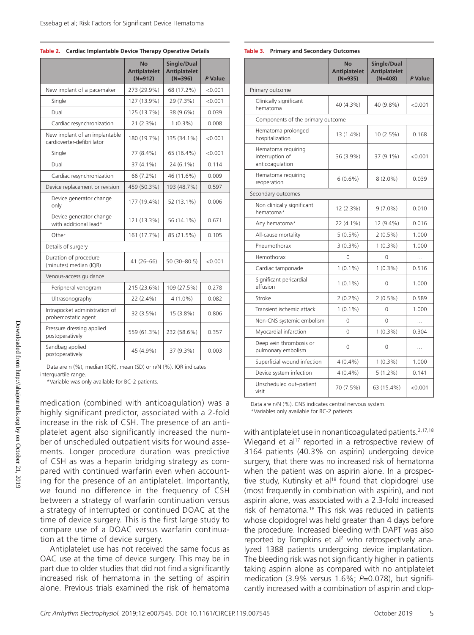#### **Table 2. Cardiac Implantable Device Therapy Operative Details**

|                                                             | <b>No</b><br><b>Antiplatelet</b><br>$(N=912)$ | Single/Dual<br><b>Antiplatelet</b><br>$(N=396)$ | P Value |
|-------------------------------------------------------------|-----------------------------------------------|-------------------------------------------------|---------|
| New implant of a pacemaker                                  | 273 (29.9%)                                   | 68 (17.2%)                                      | < 0.001 |
| Single                                                      | 127 (13.9%)                                   | 29 (7.3%)                                       | < 0.001 |
| Dual                                                        | 125 (13.7%)                                   | 38 (9.6%)                                       | 0.039   |
| Cardiac resynchronization                                   | 21 (2.3%)                                     | $1(0.3\%)$                                      | 0.008   |
| New implant of an implantable<br>cardioverter-defibrillator | 180 (19.7%)                                   | 135 (34.1%)                                     | < 0.001 |
| Single                                                      | 77 (8.4%)                                     | 65 (16.4%)                                      | < 0.001 |
| Dual                                                        | 37 (4.1%)                                     | 24 (6.1%)                                       | 0.114   |
| Cardiac resynchronization                                   | 66 (7.2%)                                     | 46 (11.6%)                                      | 0.009   |
| Device replacement or revision                              | 459 (50.3%)                                   | 193 (48.7%)                                     | 0.597   |
| Device generator change<br>only                             | 177 (19.4%)                                   | 52 (13.1%)                                      | 0.006   |
| Device generator change<br>with additional lead*            | 121 (13.3%)                                   | 56 (14.1%)                                      | 0.671   |
| Other                                                       | 161 (17.7%)                                   | 85 (21.5%)                                      | 0.105   |
| Details of surgery                                          |                                               |                                                 |         |
| Duration of procedure<br>(minutes) median (IQR)             | 41 (26-66)                                    | 50 (30-80.5)                                    | < 0.001 |
| Venous-access guidance                                      |                                               |                                                 |         |
| Peripheral venogram                                         | 215 (23.6%)                                   | 109 (27.5%)                                     | 0.278   |
| Ultrasonography                                             | 22 (2.4%)                                     | $4(1.0\%)$                                      | 0.082   |
| Intrapocket administration of<br>prohemostatic agent        | 32 (3.5%)                                     | 15 (3.8%)                                       | 0.806   |
| Pressure dressing applied<br>postoperatively                | 559 (61.3%)                                   | 232 (58.6%)                                     | 0.357   |
| Sandbag applied<br>postoperatively                          | 45 (4.9%)                                     | 37 (9.3%)                                       | 0.003   |

Data are n (%), median (IQR), mean (SD) or n/N (%). IQR indicates interquartile range.

\*Variable was only available for BC-2 patients.

medication (combined with anticoagulation) was a highly significant predictor, associated with a 2-fold increase in the risk of CSH. The presence of an antiplatelet agent also significantly increased the number of unscheduled outpatient visits for wound assements. Longer procedure duration was predictive of CSH as was a heparin bridging strategy as compared with continued warfarin even when accounting for the presence of an antiplatelet. Importantly, we found no difference in the frequency of CSH between a strategy of warfarin continuation versus a strategy of interrupted or continued DOAC at the time of device surgery. This is the first large study to compare use of a DOAC versus warfarin continuation at the time of device surgery.

Antiplatelet use has not received the same focus as OAC use at the time of device surgery. This may be in part due to older studies that did not find a significantly increased risk of hematoma in the setting of aspirin alone. Previous trials examined the risk of hematoma

#### **Table 3. Primary and Secondary Outcomes**

|                                                          | No<br><b>Antiplatelet</b><br>$(N=935)$ | Single/Dual<br><b>Antiplatelet</b><br>$(N=408)$ | P Value  |  |  |
|----------------------------------------------------------|----------------------------------------|-------------------------------------------------|----------|--|--|
| Primary outcome                                          |                                        |                                                 |          |  |  |
| Clinically significant<br>hematoma                       | 40 (4.3%)                              | 40 (9.8%)                                       | < 0.001  |  |  |
| Components of the primary outcome                        |                                        |                                                 |          |  |  |
| Hematoma prolonged<br>hospitalization                    | 13 (1.4%)                              | 10 (2.5%)                                       | 0.168    |  |  |
| Hematoma requiring<br>interruption of<br>anticoagulation | 36 (3.9%)                              | 37 (9.1%)                                       | < 0.001  |  |  |
| Hematoma requiring<br>reoperation                        | $6(0.6\%)$                             | $8(2.0\%)$                                      | 0.039    |  |  |
| Secondary outcomes                                       |                                        |                                                 |          |  |  |
| Non clinically significant<br>hematoma*                  | 12 (2.3%)                              | $9(7.0\%)$                                      | 0.010    |  |  |
| Any hematoma*                                            | 22 (4.1%)                              | 12 (9.4%)                                       | 0.016    |  |  |
| All-cause mortality                                      | $5(0.5\%)$                             | $2(0.5\%)$                                      | 1.000    |  |  |
| Pneumothorax                                             | $3(0.3\%)$                             | $1(0.3\%)$                                      | 1.000    |  |  |
| Hemothorax                                               | $\Omega$                               | $\Omega$                                        | .        |  |  |
| Cardiac tamponade                                        | $1(0.1\%)$                             | $1(0.3\%)$                                      | 0.516    |  |  |
| Significant pericardial<br>effusion                      | $1(0.1\%)$                             | 0                                               | 1.000    |  |  |
| Stroke                                                   | $2(0.2\%)$                             | $2(0.5\%)$                                      | 0.589    |  |  |
| Transient ischemic attack                                | $1(0.1\%)$                             | 0                                               | 1.000    |  |  |
| Non-CNS systemic embolism                                | 0                                      | $\Omega$                                        | .        |  |  |
| Myocardial infarction                                    | 0                                      | $1(0.3\%)$                                      | 0.304    |  |  |
| Deep vein thrombosis or<br>pulmonary embolism            | 0                                      | $\Omega$                                        | $\cdots$ |  |  |
| Superficial wound infection                              | $4(0.4\%)$                             | $1(0.3\%)$                                      | 1.000    |  |  |
| Device system infection                                  | $4(0.4\%)$                             | $5(1.2\%)$                                      | 0.141    |  |  |
| Unscheduled out-patient<br>visit                         | 70 (7.5%)                              | 63 (15.4%)                                      | < 0.001  |  |  |

Data are n/N (%). CNS indicates central nervous system.

\*Variables only available for BC-2 patients.

with antiplatelet use in nonanticoagulated patients.<sup>2,17,18</sup> Wiegand et al<sup>17</sup> reported in a retrospective review of 3164 patients (40.3% on aspirin) undergoing device surgery, that there was no increased risk of hematoma when the patient was on aspirin alone. In a prospective study, Kutinsky et al<sup>18</sup> found that clopidogrel use (most frequently in combination with aspirin), and not aspirin alone, was associated with a 2.3-fold increased risk of hematoma.<sup>18</sup> This risk was reduced in patients whose clopidogrel was held greater than 4 days before the procedure. Increased bleeding with DAPT was also reported by Tompkins et al<sup>2</sup> who retrospectively analyzed 1388 patients undergoing device implantation. The bleeding risk was not significantly higher in patients taking aspirin alone as compared with no antiplatelet medication (3.9% versus 1.6%; *P*=0.078), but significantly increased with a combination of aspirin and clop-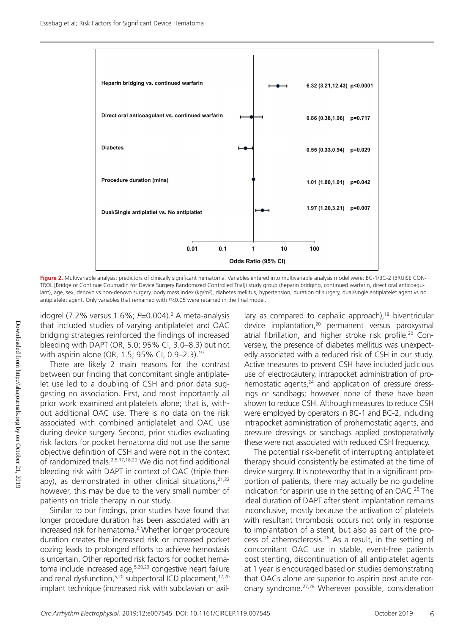

**Figure 2.** Multivariable analysis: predictors of clinically significant hematoma. Variables entered into multivariable analysis model were: BC-1/BC-2 (BRUISE CON-TROL [Bridge or Continue Coumadin for Device Surgery Randomized Controlled Trial]) study group (heparin bridging, continued warfarin, direct oral anticoagulant), age, sex, denovo vs non-denovo surgery, body mass index (kg/m<sup>2</sup>), diabetes mellitus, hypertension, duration of surgery, dual/single antiplatelet agent vs no antiplatelet agent. Only variables that remained with *P*<0.05 were retained in the final model.

idogrel (7.2% versus 1.6%; *P*=0.004).2 A meta-analysis that included studies of varying antiplatelet and OAC bridging strategies reinforced the findings of increased bleeding with DAPT (OR, 5.0; 95% CI, 3.0–8.3) but not with aspirin alone (OR, 1.5; 95% CI, 0.9-2.3).<sup>19</sup>

There are likely 2 main reasons for the contrast between our finding that concomitant single antiplatelet use led to a doubling of CSH and prior data suggesting no association. First, and most importantly all prior work examined antiplatelets alone; that is, without additional OAC use. There is no data on the risk associated with combined antiplatelet and OAC use during device surgery. Second, prior studies evaluating risk factors for pocket hematoma did not use the same objective definition of CSH and were not in the context of randomized trials.2,5,17,18,20 We did not find additional bleeding risk with DAPT in context of OAC (triple therapy), as demonstrated in other clinical situations, $2^{1,22}$ however, this may be due to the very small number of patients on triple therapy in our study.

Similar to our findings, prior studies have found that longer procedure duration has been associated with an increased risk for hematoma.2 Whether longer procedure duration creates the increased risk or increased pocket oozing leads to prolonged efforts to achieve hemostasis is uncertain. Other reported risk factors for pocket hematoma include increased age,5,20,23 congestive heart failure and renal dysfunction,<sup>5,20</sup> subpectoral ICD placement,<sup>17,20</sup> implant technique (increased risk with subclavian or axil-

lary as compared to cephalic approach),<sup>18</sup> biventricular device implantation,<sup>20</sup> permanent versus paroxysmal atrial fibrillation, and higher stroke risk profile.20 Conversely, the presence of diabetes mellitus was unexpectedly associated with a reduced risk of CSH in our study. Active measures to prevent CSH have included judicious use of electrocautery, intrapocket administration of prohemostatic agents,<sup>24</sup> and application of pressure dressings or sandbags; however none of these have been shown to reduce CSH. Although measures to reduce CSH were employed by operators in BC-1 and BC-2, including intrapocket administration of prohemostatic agents, and pressure dressings or sandbags applied postoperatively these were not associated with reduced CSH frequency.

The potential risk-benefit of interrupting antiplatelet therapy should consistently be estimated at the time of device surgery. It is noteworthy that in a significant proportion of patients, there may actually be no guideline indication for aspirin use in the setting of an OAC.<sup>25</sup> The ideal duration of DAPT after stent implantation remains inconclusive, mostly because the activation of platelets with resultant thrombosis occurs not only in response to implantation of a stent, but also as part of the process of atherosclerosis.26 As a result, in the setting of concomitant OAC use in stable, event-free patients post stenting, discontinuation of all antiplatelet agents at 1 year is encouraged based on studies demonstrating that OACs alone are superior to aspirin post acute coronary syndrome.27,28 Wherever possible, consideration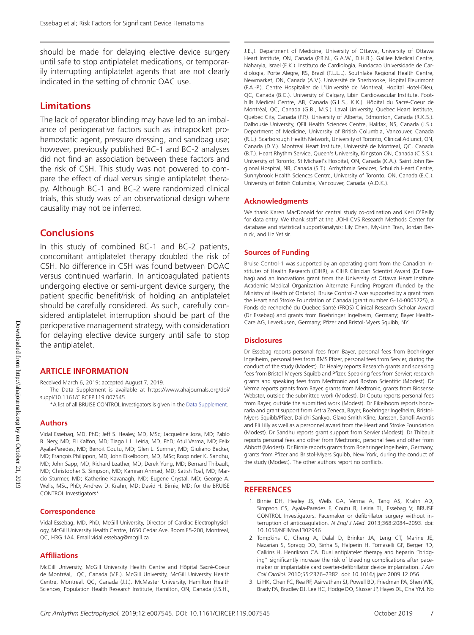should be made for delaying elective device surgery until safe to stop antiplatelet medications, or temporarily interrupting antiplatelet agents that are not clearly indicated in the setting of chronic OAC use.

#### **Limitations**

The lack of operator blinding may have led to an imbalance of perioperative factors such as intrapocket prohemostatic agent, pressure dressing, and sandbag use; however, previously published BC-1 and BC-2 analyses did not find an association between these factors and the risk of CSH. This study was not powered to compare the effect of dual versus single antiplatelet therapy. Although BC-1 and BC-2 were randomized clinical trials, this study was of an observational design where causality may not be inferred.

#### **Conclusions**

In this study of combined BC-1 and BC-2 patients, concomitant antiplatelet therapy doubled the risk of CSH. No difference in CSH was found between DOAC versus continued warfarin. In anticoagulated patients undergoing elective or semi-urgent device surgery, the patient specific benefit/risk of holding an antiplatelet should be carefully considered. As such, carefully considered antiplatelet interruption should be part of the perioperative management strategy, with consideration for delaying elective device surgery until safe to stop the antiplatelet.

#### **ARTICLE INFORMATION**

Received March 6, 2019; accepted August 7, 2019.

The Data Supplement is available at [https://www.ahajournals.org/doi/](https://www.ahajournals.org/doi/suppl/10.1161/CIRCEP.119.007545) [suppl/10.1161/CIRCEP.119.007545](https://www.ahajournals.org/doi/suppl/10.1161/CIRCEP.119.007545).

\*A list of all BRUISE CONTROL Investigators is given in the [Data Supplement.](https://www.ahajournals.org/doi/suppl/10.1161/CIRCEP.119.007545)

#### **Authors**

Vidal Essebag, MD, PhD; Jeff S. Healey, MD, MSc; Jacqueline Joza, MD; Pablo B. Nery, MD; Eli Kalfon, MD; Tiago L.L. Leiria, MD, PhD; Atul Verma, MD; Felix Ayala-Paredes, MD; Benoit Coutu, MD; Glen L. Sumner, MD; Giuliano Becker, MD; François Philippon, MD; John Eikelboom, MD, MSc; Roopinder K. Sandhu, MD; John Sapp, MD; Richard Leather, MD; Derek Yung, MD; Bernard Thibault, MD; Christopher S. Simpson, MD; Kamran Ahmad, MD; Satish Toal, MD; Marcio Sturmer, MD; Katherine Kavanagh, MD; Eugene Crystal, MD; George A. Wells, MSc, PhD; Andrew D. Krahn, MD; David H. Birnie, MD; for the BRUISE CONTROL Investigators\*

#### **Correspondence**

Vidal Essebag, MD, PhD, McGill University, Director of Cardiac Electrophysiology, McGill University Health Centre, 1650 Cedar Ave, Room E5-200, Montreal, QC, H3G 1A4. Email [vidal.essebag@mcgill.ca](mailto:vidal.essebag@mcgill.ca)

#### **Affiliations**

McGill University, McGill University Health Centre and Hôpital Sacré-Coeur de Montréal, QC, Canada (V.E.). McGill University, McGill University Health Centre, Montreal, QC, Canada (J.J.). McMaster University, Hamilton Health Sciences, Population Health Research Institute, Hamilton, ON, Canada (J.S.H.,

J.E.,). Department of Medicine, University of Ottawa, University of Ottawa Heart Institute, ON, Canada (P.B.N., G.A.W., D.H.B.). Galilee Medical Centre, Naharyia, Israel (E.K.). Instituto de Cardiologia, Fundacao Universidade de Cardiologia, Porte Alegre, RS, Brazil (T.L.L.L). Southlake Regional Health Centre, Newmarket, ON, Canada (A.V.). Université de Sherbrooke, Hopital Fleurimont (F.A.-P.). Centre Hospitalier de L'Université de Montreal, Hopital Hotel-Dieu, QC, Canada (B.C.). University of Calgary, Libin Cardiovascular Institute, Foothills Medical Centre, AB, Canada (G.L.S., K.K.). Hôpital du Sacré-Coeur de Montréal, QC, Canada (G.B., M.S.). Laval University, Quebec Heart Institute, Quebec City, Canada (F.P.). University of Alberta, Edmonton, Canada (R.K.S.). Dalhousie University, QEII Health Sciences Centre, Halifax, NS, Canada (J.S.). Department of Medicine, University of British Columbia, Vancouver, Canada (R.L.). Scarborough Health Network, University of Toronto, Clinical Adjunct, ON, Canada (D.Y.). Montreal Heart Institute, Université de Montreal, QC, Canada (B.T.). Heart Rhythm Service, Queen's University, Kingston ON, Canada (C.S.S.). University of Toronto, St Michael's Hospital, ON, Canada (K.A.). Saint John Regional Hospital, NB, Canada (S.T.). Arrhythmia Services, Schulich Heart Centre, Sunnybrook Health Sciences Centre, University of Toronto, ON, Canada (E.C.). University of British Columbia, Vancouver, Canada (A.D.K.).

#### **Acknowledgments**

We thank Karen MacDonald for central study co-ordination and Keri O'Reilly for data entry. We thank staff at the UOHI CVS Research Methods Center for database and statistical support/analysis: Lily Chen, My-Linh Tran, Jordan Bernick, and Liz Yetisir.

#### **Sources of Funding**

Bruise Control-1 was supported by an operating grant from the Canadian Institutes of Health Research (CIHR), a CIHR Clinician Scientist Award (Dr Essebag) and an Innovations grant from the University of Ottawa Heart Institute Academic Medical Organization Alternate Funding Program (funded by the Ministry of Health of Ontario). Bruise Control-2 was supported by a grant from the Heart and Stroke Foundation of Canada (grant number G-14-0005725), a Fonds de recherché du Quebec-Santé (FRQS) Clinical Research Scholar Award (Dr Essebag) and grants from Boehringer Ingelheim, Germany; Bayer Health-Care AG, Leverkusen, Germany; Pfizer and Bristol-Myers Squibb, NY.

#### **Disclosures**

Dr Essebag reports personal fees from Bayer, personal fees from Boehringer Ingelheim, personal fees from BMS Pfizer, personal fees from Servier, during the conduct of the study (Modest). Dr Healey reports Research grants and speaking fees from Bristol-Meyers-Squibb and Pfizer. Speaking fees from Servier; research grants and speaking fees from Medtronic and Boston Scientific (Modest). Dr Verma reports grants from Bayer, grants from Medtronic, grants from Biosense Webster, outside the submitted work (Modest). Dr Coutu reports personal fees from Bayer, outside the submitted work (Modest). Dr Eikelboom reports honoraria and grant support from Astra Zeneca, Bayer, Boehringer Ingelheim, Bristol-Myers-Squibb/Pfizer, Daiichi Sankyo, Glaxo Smith Kline, Janssen, Sanofi Aventis and Eli Lilly as well as a personnel award from the Heart and Stroke Foundation (Modest). Dr Sandhu reports grant support from Servier (Modest). Dr Thibault reports personal fees and other from Medtronic, personal fees and other from Abbott (Modest). Dr Birnie reports grants from Boehringer Ingelheim, Germany, grants from Pfizer and Bristol-Myers Squibb, New York, during the conduct of the study (Modest). The other authors report no conflicts.

#### **REFERENCES**

- 1. Birnie DH, Healey JS, Wells GA, Verma A, Tang AS, Krahn AD, Simpson CS, Ayala-Paredes F, Coutu B, Leiria TL, Essebag V; BRUISE CONTROL Investigators. Pacemaker or defibrillator surgery without interruption of anticoagulation. *N Engl J Med*. 2013;368:2084–2093. doi: 10.1056/NEJMoa1302946
- 2. Tompkins C, Cheng A, Dalal D, Brinker JA, Leng CT, Marine JE, Nazarian S, Spragg DD, Sinha S, Halperin H, Tomaselli GF, Berger RD, Calkins H, Henrikson CA. Dual antiplatelet therapy and heparin "bridging" significantly increase the risk of bleeding complications after pacemaker or implantable cardioverter-defibrillator device implantation. *J Am Coll Cardiol*. 2010;55:2376–2382. doi: 10.1016/j.jacc.2009.12.056
- 3. Li HK, Chen FC, Rea RF, Asirvatham SJ, Powell BD, Friedman PA, Shen WK, Brady PA, Bradley DJ, Lee HC, Hodge DO, Slusser JP, Hayes DL, Cha YM. No